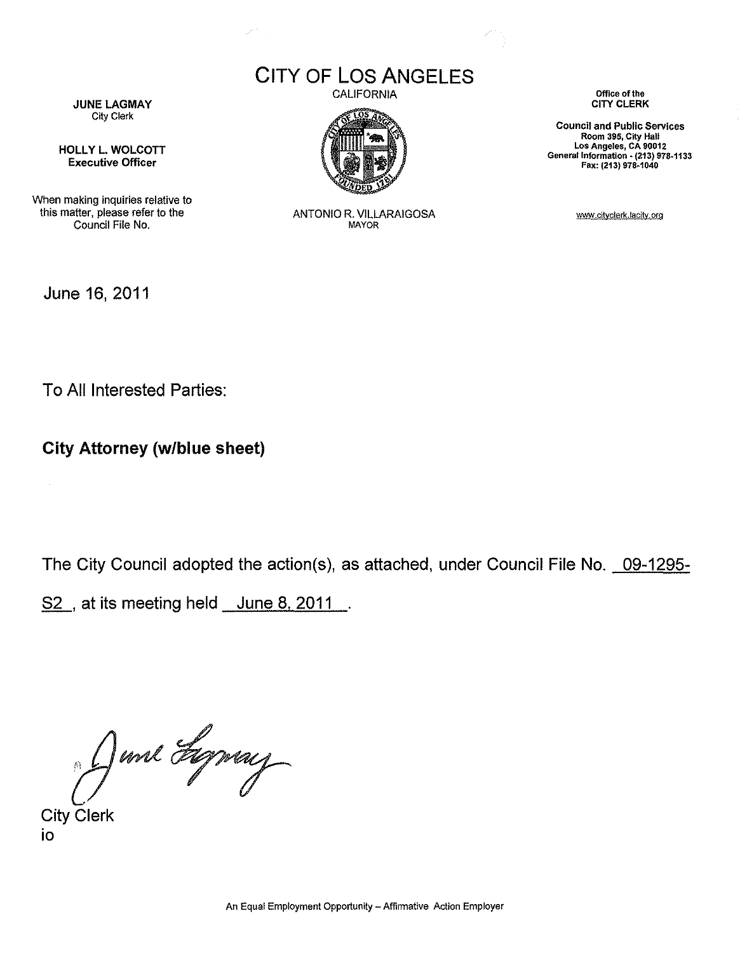**CITY OF LOS ANGELES**

Š,



HOllY l. WOLCOTT Executive Officer

When making inquiries relative to this matter, please refer to the Council File No.

CALIFORNIA



ANTONIO R. VILLARAIGOSA MAYOR

**Office of the** CITY CLERK

**Council and Public Services Room 395, City Hall Los Angeles, CA 90012** General Information • **(213) 978-1133** Fax: (213) 978·1040

www.cityclerk.lacity.org

June 16, 2011

 $\sim$ 

To All Interested Parties:

**City Attorney (w/blue sheet)**

The City Council adopted the action(s), as attached, under Council File No. 09-1295-

S<sub>2</sub>, at its meeting held June 8, 2011.

Oune Syring

io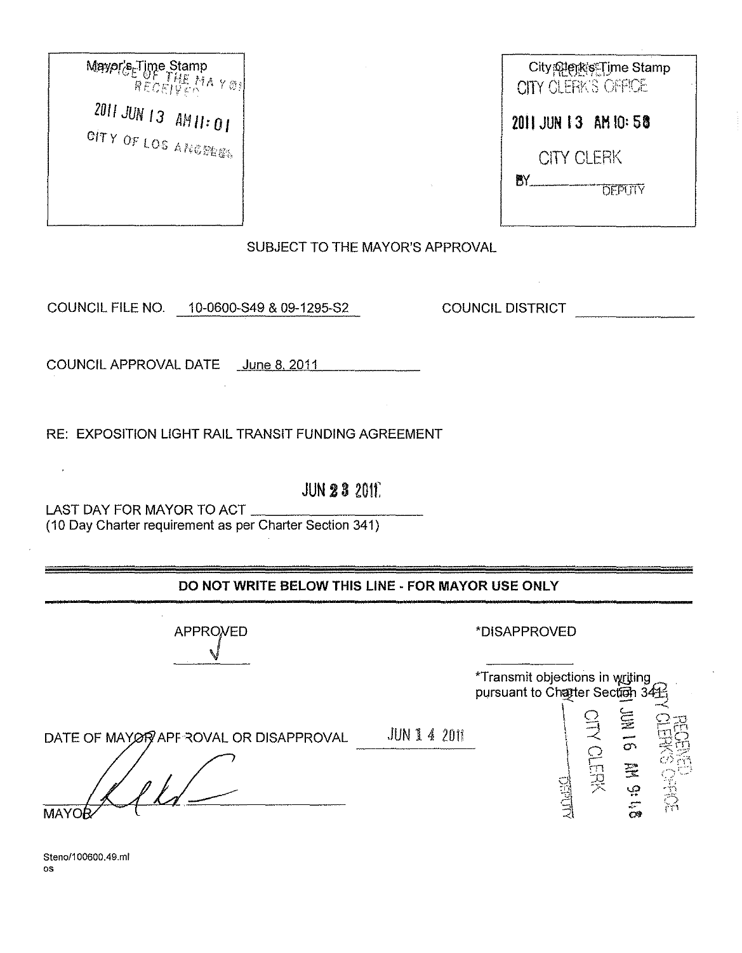Maypr's Time Stamp<br>RECEIVE MAY ® 2011 JUN 13 AM11:01 CITY OF LOS ANGELIES

| City@lejkis:Time Stamp<br>CITY CLERK'S OFFICE |  |
|-----------------------------------------------|--|
| 2011 JUN 13 AM 10:58                          |  |
| <b>CITY CLERK</b>                             |  |
| AY .<br><b>DEPUTY</b>                         |  |
|                                               |  |

SUBJECT TO THE MAYOR'S APPROVAL

COUNCIL FILE NO. 10-0600-S49 & 09-1295-S2

**COUNCIL DISTRICT** 

COUNCIL APPROVAL DATE June 8, 2011

RE: EXPOSITION LIGHT RAIL TRANSIT FUNDING AGREEMENT

LAST DAY FOR MAYOR TO ACT

**JUN 23 2011** 

(10 Day Charter requirement as per Charter Section 341)

DO NOT WRITE BELOW THIS LINE - FOR MAYOR USE ONLY

**APPROVED** 

## \*DISAPPROVED

\*Transmit objections in writing pursuant to Chatter Section 34 DATE OF MAY OF APPROVAL OR DISAPPROVAL JUN 1 4 2011 16 MM 91

Steno/100600.49.ml  $\alpha$ s

**MAYO** 

 $\overline{1}$